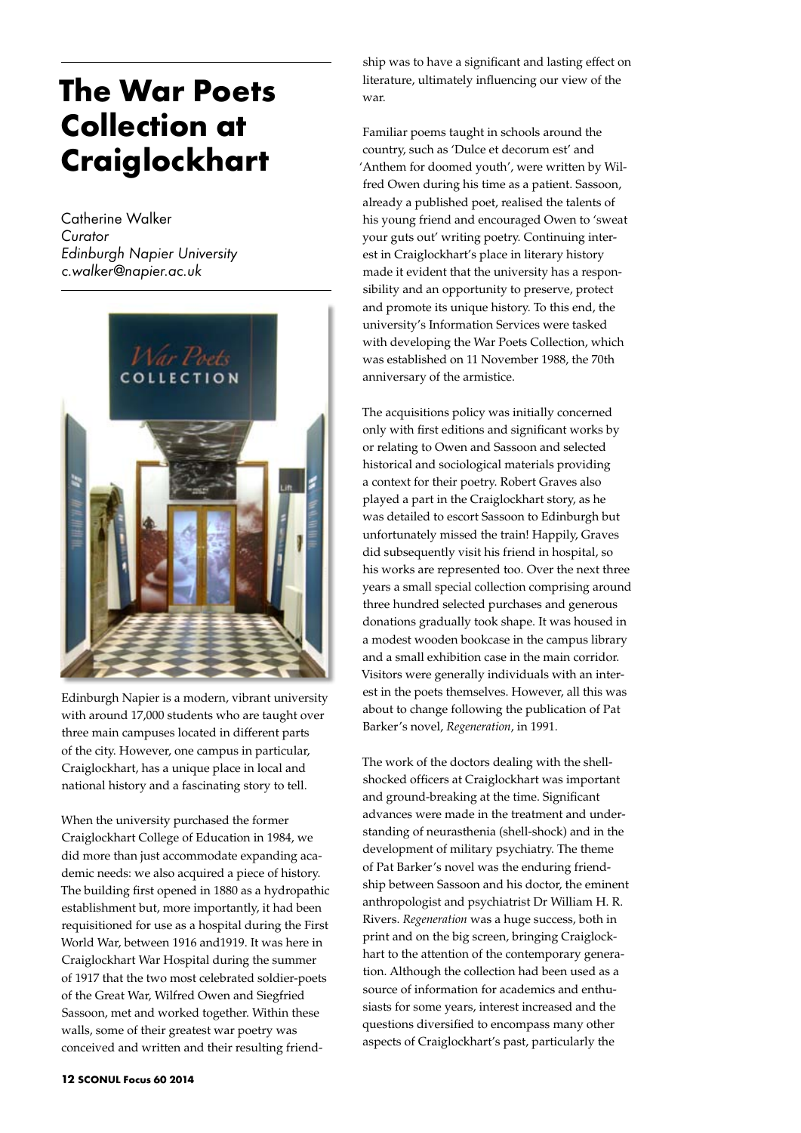## **The War Poets Collection at Craiglockhart**

Catherine Walker *Curator Edinburgh Napier University c.walker@napier.ac.uk*



Edinburgh Napier is a modern, vibrant university with around 17,000 students who are taught over three main campuses located in different parts of the city. However, one campus in particular, Craiglockhart, has a unique place in local and national history and a fascinating story to tell.

When the university purchased the former Craiglockhart College of Education in 1984, we did more than just accommodate expanding academic needs: we also acquired a piece of history. The building first opened in 1880 as a hydropathic establishment but, more importantly, it had been requisitioned for use as a hospital during the First World War, between 1916 and1919. It was here in Craiglockhart War Hospital during the summer of 1917 that the two most celebrated soldier-poets of the Great War, Wilfred Owen and Siegfried Sassoon, met and worked together. Within these walls, some of their greatest war poetry was conceived and written and their resulting friend-

ship was to have a significant and lasting effect on literature, ultimately influencing our view of the war.

Familiar poems taught in schools around the country, such as 'Dulce et decorum est' and 'Anthem for doomed youth', were written by Wilfred Owen during his time as a patient. Sassoon, already a published poet, realised the talents of his young friend and encouraged Owen to 'sweat your guts out' writing poetry. Continuing interest in Craiglockhart's place in literary history made it evident that the university has a responsibility and an opportunity to preserve, protect and promote its unique history. To this end, the university's Information Services were tasked with developing the War Poets Collection, which was established on 11 November 1988, the 70th anniversary of the armistice.

The acquisitions policy was initially concerned only with first editions and significant works by or relating to Owen and Sassoon and selected historical and sociological materials providing a context for their poetry. Robert Graves also played a part in the Craiglockhart story, as he was detailed to escort Sassoon to Edinburgh but unfortunately missed the train! Happily, Graves did subsequently visit his friend in hospital, so his works are represented too. Over the next three years a small special collection comprising around three hundred selected purchases and generous donations gradually took shape. It was housed in a modest wooden bookcase in the campus library and a small exhibition case in the main corridor. Visitors were generally individuals with an interest in the poets themselves. However, all this was about to change following the publication of Pat Barker's novel, *Regeneration*, in 1991.

The work of the doctors dealing with the shellshocked officers at Craiglockhart was important and ground-breaking at the time. Significant advances were made in the treatment and understanding of neurasthenia (shell-shock) and in the development of military psychiatry. The theme of Pat Barker's novel was the enduring friendship between Sassoon and his doctor, the eminent anthropologist and psychiatrist Dr William H. R. Rivers. *Regeneration* was a huge success, both in print and on the big screen, bringing Craiglockhart to the attention of the contemporary generation. Although the collection had been used as a source of information for academics and enthusiasts for some years, interest increased and the questions diversified to encompass many other aspects of Craiglockhart's past, particularly the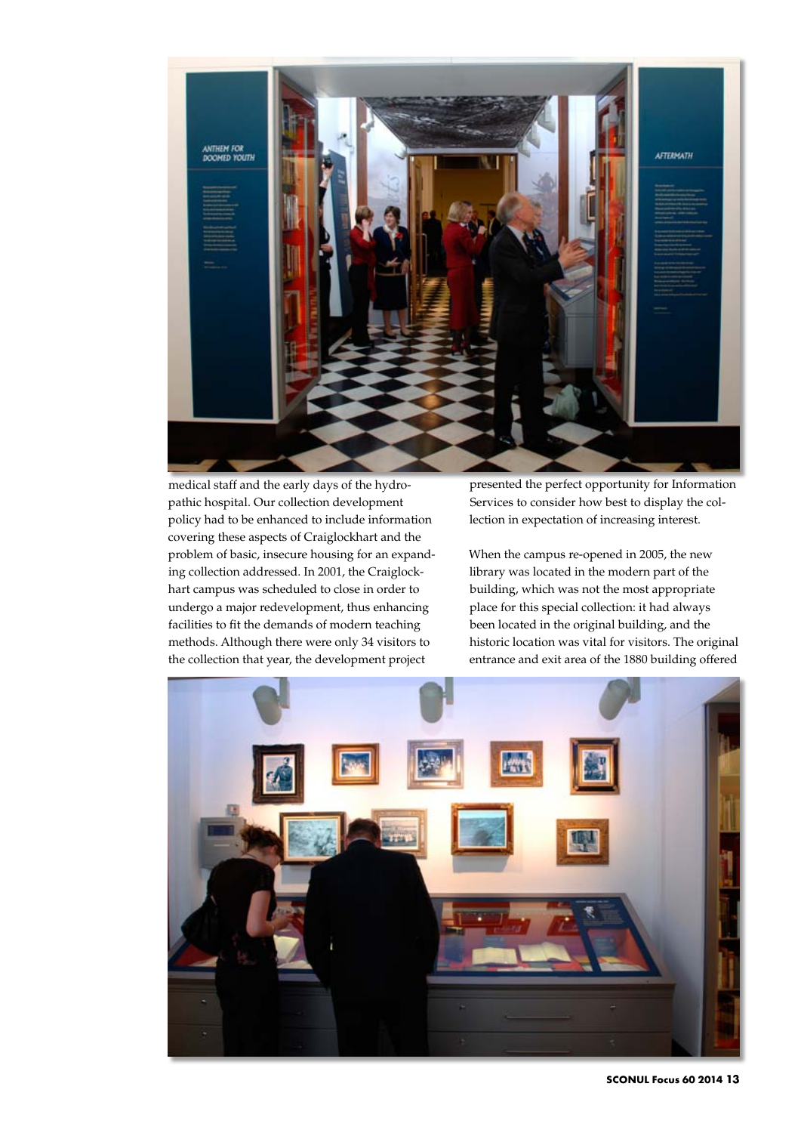

medical staff and the early days of the hydropathic hospital. Our collection development policy had to be enhanced to include information covering these aspects of Craiglockhart and the problem of basic, insecure housing for an expanding collection addressed. In 2001, the Craiglockhart campus was scheduled to close in order to undergo a major redevelopment, thus enhancing facilities to fit the demands of modern teaching methods. Although there were only 34 visitors to the collection that year, the development project

presented the perfect opportunity for Information Services to consider how best to display the collection in expectation of increasing interest.

When the campus re-opened in 2005, the new library was located in the modern part of the building, which was not the most appropriate place for this special collection: it had always been located in the original building, and the historic location was vital for visitors. The original entrance and exit area of the 1880 building offered